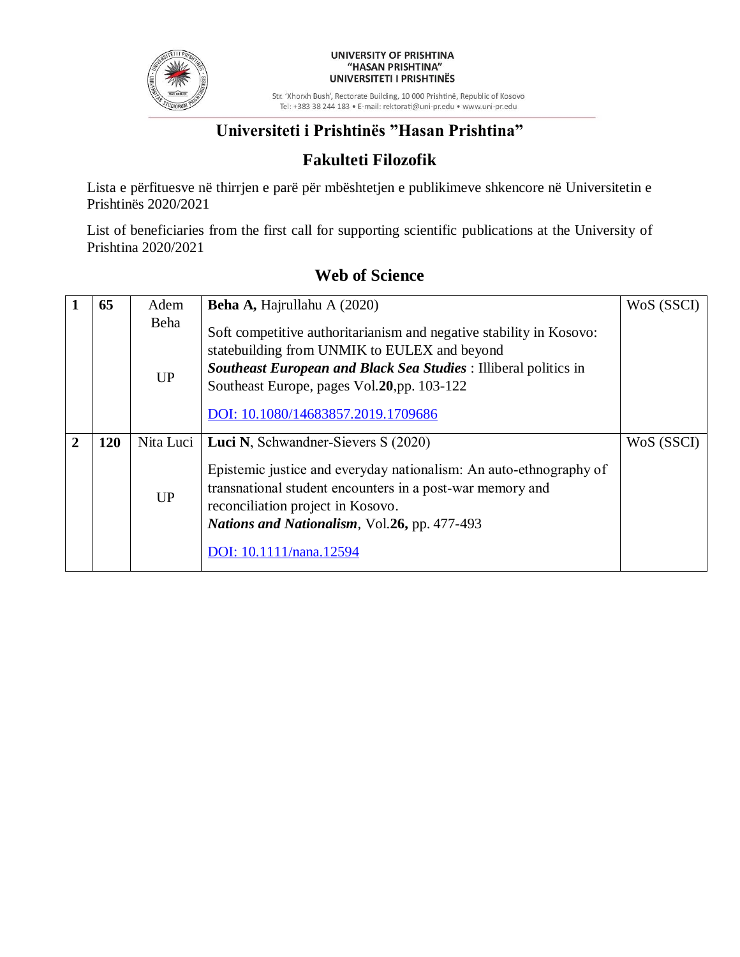

#### UNIVERSITY OF PRISHTINA "HASAN PRISHTINA" UNIVERSITETI I PRISHTINËS

Str. 'Xhorxh Bush', Rectorate Building, 10 000 Prishtinë, Republic of Kosovo Tel: +383 38 244 183 · E-mail: rektorati@uni-pr.edu · www.uni-pr.edu

## **Universiteti i Prishtinës "Hasan Prishtina"**

### **Fakulteti Filozofik**

Lista e përfituesve në thirrjen e parë për mbështetjen e publikimeve shkencore në Universitetin e Prishtinës 2020/2021

List of beneficiaries from the first call for supporting scientific publications at the University of Prishtina 2020/2021

|   | 65         | Adem              | <b>Beha A, Hajrullahu A (2020)</b>                                                                                                                                                                                                                                            | WoS (SSCI) |
|---|------------|-------------------|-------------------------------------------------------------------------------------------------------------------------------------------------------------------------------------------------------------------------------------------------------------------------------|------------|
|   |            | Beha<br><b>UP</b> | Soft competitive authoritarianism and negative stability in Kosovo:<br>statebuilding from UNMIK to EULEX and beyond<br>Southeast European and Black Sea Studies : Illiberal politics in<br>Southeast Europe, pages Vol. 20, pp. 103-122<br>DOI: 10.1080/14683857.2019.1709686 |            |
| 2 | <b>120</b> | Nita Luci         | <b>Luci N, Schwandner-Sievers S (2020)</b>                                                                                                                                                                                                                                    | WoS (SSCI) |
|   |            | <b>UP</b>         | Epistemic justice and everyday nationalism: An auto-ethnography of<br>transnational student encounters in a post-war memory and<br>reconciliation project in Kosovo.<br>Nations and Nationalism, Vol. 26, pp. 477-493<br>DOI: 10.1111/nana.12594                              |            |
|   |            |                   |                                                                                                                                                                                                                                                                               |            |

### **Web of Science**